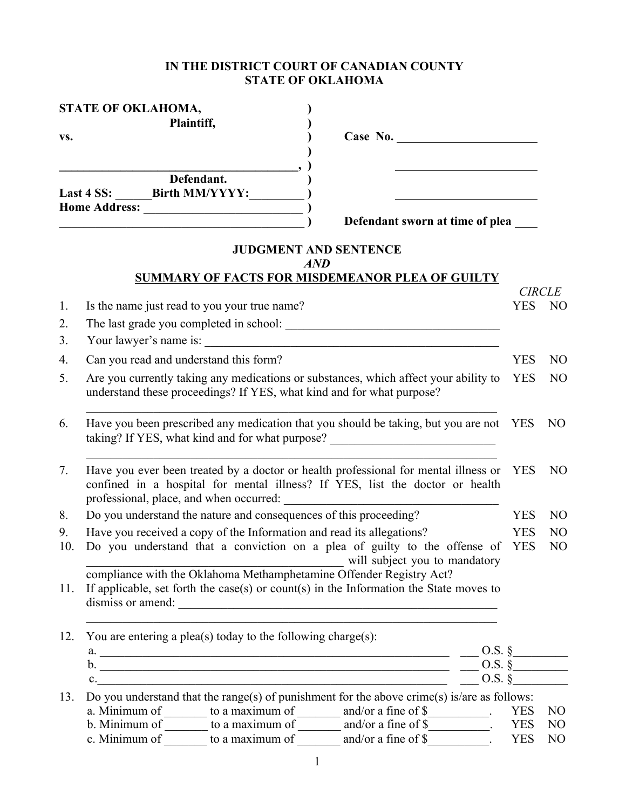### **IN THE DISTRICT COURT OF CANADIAN COUNTY STATE OF OKLAHOMA**

| STATE OF OKLAHOMA, |                                                                                                                                                                                                                                                                                                            |                                                 |                          |                                  |  |  |  |
|--------------------|------------------------------------------------------------------------------------------------------------------------------------------------------------------------------------------------------------------------------------------------------------------------------------------------------------|-------------------------------------------------|--------------------------|----------------------------------|--|--|--|
| VS.                | Plaintiff,                                                                                                                                                                                                                                                                                                 | Case No.                                        |                          |                                  |  |  |  |
|                    |                                                                                                                                                                                                                                                                                                            |                                                 |                          |                                  |  |  |  |
|                    | Defendant.<br>Last 4 SS: ________ Birth MM/YYYY:__________<br><u> 1980 - Johann Stoff, deutscher Stoff, der Stoff, der Stoff, der Stoff, der Stoff, der Stoff, der Stoff, der S</u>                                                                                                                        |                                                 |                          |                                  |  |  |  |
|                    |                                                                                                                                                                                                                                                                                                            | Defendant sworn at time of plea                 |                          |                                  |  |  |  |
|                    |                                                                                                                                                                                                                                                                                                            | <b>JUDGMENT AND SENTENCE</b>                    |                          |                                  |  |  |  |
|                    |                                                                                                                                                                                                                                                                                                            | AND                                             |                          |                                  |  |  |  |
|                    |                                                                                                                                                                                                                                                                                                            | SUMMARY OF FACTS FOR MISDEMEANOR PLEA OF GUILTY |                          |                                  |  |  |  |
| 1.                 | Is the name just read to you your true name?                                                                                                                                                                                                                                                               |                                                 | <b>YES</b>               | <b>CIRCLE</b><br>N <sub>O</sub>  |  |  |  |
| 2.                 |                                                                                                                                                                                                                                                                                                            |                                                 |                          |                                  |  |  |  |
|                    |                                                                                                                                                                                                                                                                                                            |                                                 |                          |                                  |  |  |  |
| 3.                 |                                                                                                                                                                                                                                                                                                            |                                                 |                          |                                  |  |  |  |
| 4.                 | Can you read and understand this form?                                                                                                                                                                                                                                                                     |                                                 | <b>YES</b>               | N <sub>O</sub>                   |  |  |  |
| 5.                 | Are you currently taking any medications or substances, which affect your ability to<br>understand these proceedings? If YES, what kind and for what purpose?                                                                                                                                              |                                                 | <b>YES</b>               | N <sub>O</sub>                   |  |  |  |
| 6.                 | Have you been prescribed any medication that you should be taking, but you are not YES<br>taking? If YES, what kind and for what purpose? _________________________________                                                                                                                                |                                                 |                          |                                  |  |  |  |
| 7.                 | Have you ever been treated by a doctor or health professional for mental illness or<br>confined in a hospital for mental illness? If YES, list the doctor or health<br>professional, place, and when occurred:                                                                                             |                                                 |                          |                                  |  |  |  |
| 8.                 | Do you understand the nature and consequences of this proceeding?                                                                                                                                                                                                                                          |                                                 | <b>YES</b>               | N <sub>O</sub>                   |  |  |  |
| 9.                 | Have you received a copy of the Information and read its allegations?                                                                                                                                                                                                                                      |                                                 | <b>YES</b>               | N <sub>O</sub>                   |  |  |  |
| 10.                | Do you understand that a conviction on a plea of guilty to the offense of                                                                                                                                                                                                                                  | will subject you to mandatory                   | <b>YES</b>               | N <sub>O</sub>                   |  |  |  |
| 11.                | compliance with the Oklahoma Methamphetamine Offender Registry Act?<br>If applicable, set forth the case(s) or count(s) in the Information the State moves to<br>dismiss or amend:                                                                                                                         |                                                 |                          |                                  |  |  |  |
| 12.                | You are entering a plea(s) today to the following charge(s):                                                                                                                                                                                                                                               |                                                 |                          |                                  |  |  |  |
|                    | a. $\frac{\text{a}}{\text{b}}$ 0.S. §                                                                                                                                                                                                                                                                      |                                                 |                          |                                  |  |  |  |
|                    | b. $\frac{1}{2}$ 0.S. §                                                                                                                                                                                                                                                                                    |                                                 |                          |                                  |  |  |  |
|                    | $c_{\cdot}$ and $c_{\cdot}$ and $c_{\cdot}$ and $c_{\cdot}$ and $c_{\cdot}$ and $c_{\cdot}$ and $c_{\cdot}$ and $c_{\cdot}$ and $c_{\cdot}$ and $c_{\cdot}$ and $c_{\cdot}$ and $c_{\cdot}$ and $c_{\cdot}$ and $c_{\cdot}$ and $c_{\cdot}$ and $c_{\cdot}$ and $c_{\cdot}$ and $c_{\cdot}$ and $c_{\cdot$ |                                                 | $0.5.$ $\delta$          |                                  |  |  |  |
| 13.                | Do you understand that the range(s) of punishment for the above crime(s) is/are as follows:                                                                                                                                                                                                                |                                                 |                          |                                  |  |  |  |
|                    | a. Minimum of $\_\_\_\_\_\$ to a maximum of $\_\_\_\_\$ and/or a fine of \$ $\_\_\_\_\_\_\_\_\_\_\_\_\_\_\$ .<br>b. Minimum of $\_\_\_\_\_\$ to a maximum of $\_\_\_\_\$ and/or a fine of \$ $\_\_\_\_\_\_\_\_\_\_\_\_\_\_\_\_\_\_\_$ .                                                                    |                                                 | <b>YES</b><br><b>YES</b> | N <sub>O</sub><br>N <sub>O</sub> |  |  |  |
|                    | c. Minimum of $\overline{\hspace{1cm}}$ to a maximum of $\overline{\hspace{1cm}}$ and/or a fine of \$                                                                                                                                                                                                      |                                                 | <b>YES</b>               | N <sub>O</sub>                   |  |  |  |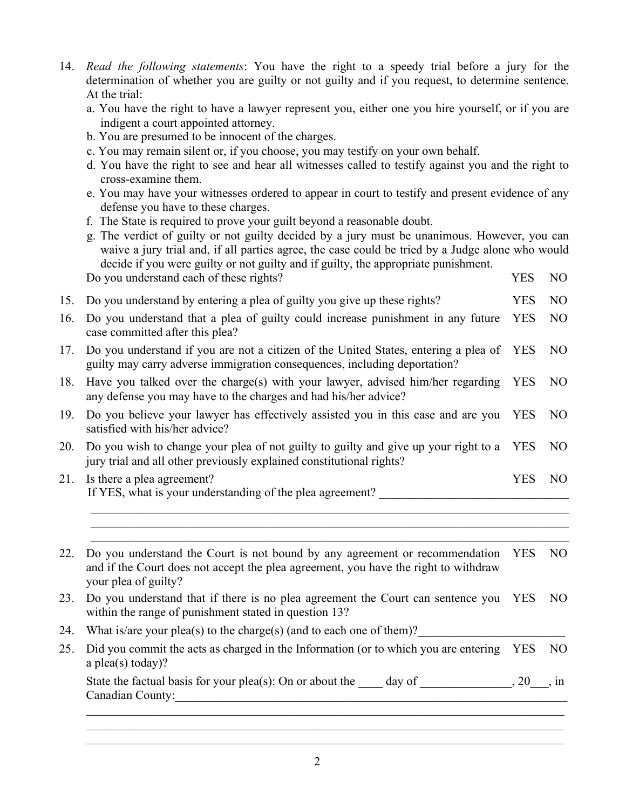- 14. *Read the following statements*: You have the right to a speedy trial before a jury for the determination of whether you are guilty or not guilty and if you request, to determine sentence. At the trial:
	- a. You have the right to have a lawyer represent you, either one you hire yourself, or if you are indigent a court appointed attorney.
	- b. You are presumed to be innocent of the charges.
	- c. You may remain silent or, if you choose, you may testify on your own behalf.
	- d. You have the right to see and hear all witnesses called to testify against you and the right to cross-examine them.
	- e. You may have your witnesses ordered to appear in court to testify and present evidence of any defense you have to these charges.
	- f. The State is required to prove your guilt beyond a reasonable doubt.
	- g. The verdict of guilty or not guilty decided by a jury must be unanimous. However, you can waive a jury trial and, if all parties agree, the case could be tried by a Judge alone who would decide if you were guilty or not guilty and if guilty, the appropriate punishment. Do you understand each of these rights? YES NO

- 
- 15. Do you understand by entering a plea of guilty you give up these rights? YES NO
- 16. Do you understand that a plea of guilty could increase punishment in any future case committed after this plea? YES NO
- 17. Do you understand if you are not a citizen of the United States, entering a plea of guilty may carry adverse immigration consequences, including deportation? YES NO
- 18. Have you talked over the charge(s) with your lawyer, advised him/her regarding any defense you may have to the charges and had his/her advice? YES NO
- 19. Do you believe your lawyer has effectively assisted you in this case and are you YES NO satisfied with his/her advice?
- 20. Do you wish to change your plea of not guilty to guilty and give up your right to a YES NO jury trial and all other previously explained constitutional rights?
- 21. Is there a plea agreement? YES NO If YES, what is your understanding of the plea agreement?  $\_$  , and the contribution of the contribution of the contribution of the contribution of  $\mathcal{L}_\text{max}$

 $\_$  , and the contribution of the contribution of the contribution of the contribution of  $\mathcal{L}_\text{max}$ 

 $\_$  , and the contribution of the contribution of the contribution of the contribution of  $\mathcal{L}_\text{max}$ 22. Do you understand the Court is not bound by any agreement or recommendation YES NO and if the Court does not accept the plea agreement, you have the right to withdraw your plea of guilty? 23. Do you understand that if there is no plea agreement the Court can sentence you YES NO within the range of punishment stated in question 13? 24. What is/are your plea(s) to the charge(s) (and to each one of them)? 25. Did you commit the acts as charged in the Information (or to which you are entering YES NO a plea(s) today)? State the factual basis for your plea(s): On or about the  $\_\_\_$  day of  $\_\_\_\_\_\_$ , 20 $\_\_\_\$ , in Canadian County:  $\_$  , and the contribution of the contribution of the contribution of the contribution of  $\mathcal{L}_\text{max}$ 

 $\mathcal{L}_\mathcal{L} = \{ \mathcal{L}_\mathcal{L} = \{ \mathcal{L}_\mathcal{L} = \{ \mathcal{L}_\mathcal{L} = \{ \mathcal{L}_\mathcal{L} = \{ \mathcal{L}_\mathcal{L} = \{ \mathcal{L}_\mathcal{L} = \{ \mathcal{L}_\mathcal{L} = \{ \mathcal{L}_\mathcal{L} = \{ \mathcal{L}_\mathcal{L} = \{ \mathcal{L}_\mathcal{L} = \{ \mathcal{L}_\mathcal{L} = \{ \mathcal{L}_\mathcal{L} = \{ \mathcal{L}_\mathcal{L} = \{ \mathcal{L}_\mathcal{$  $\_$  , and the contribution of the contribution of the contribution of the contribution of  $\mathcal{L}_\text{max}$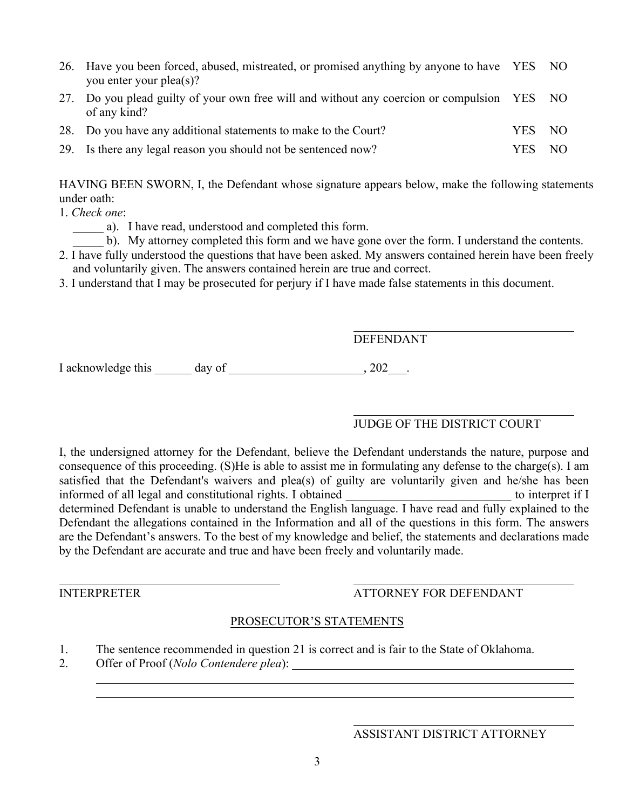- 26. Have you been forced, abused, mistreated, or promised anything by anyone to have YES NO you enter your plea(s)? 27. Do you plead guilty of your own free will and without any coercion or compulsion YES NO
- of any kind? 28. Do you have any additional statements to make to the Court? YES NO

29. Is there any legal reason you should not be sentenced now? YES NO

HAVING BEEN SWORN, I, the Defendant whose signature appears below, make the following statements under oath:

- 1. *Check one*:
	- a). I have read, understood and completed this form.
		- b). My attorney completed this form and we have gone over the form. I understand the contents.
- 2. I have fully understood the questions that have been asked. My answers contained herein have been freely and voluntarily given. The answers contained herein are true and correct.
- 3. I understand that I may be prosecuted for perjury if I have made false statements in this document.

## DEFENDANT

I acknowledge this \_\_\_\_\_\_ day of \_\_\_\_\_\_\_\_\_\_\_\_\_\_\_\_\_\_\_\_\_\_, 202\_\_\_\_.

## JUDGE OF THE DISTRICT COURT

I, the undersigned attorney for the Defendant, believe the Defendant understands the nature, purpose and consequence of this proceeding. (S)He is able to assist me in formulating any defense to the charge(s). I am satisfied that the Defendant's waivers and plea(s) of guilty are voluntarily given and he/she has been informed of all legal and constitutional rights. I obtained to interpret if I determined Defendant is unable to understand the English language. I have read and fully explained to the Defendant the allegations contained in the Information and all of the questions in this form. The answers are the Defendant's answers. To the best of my knowledge and belief, the statements and declarations made by the Defendant are accurate and true and have been freely and voluntarily made.

## INTERPRETER ATTORNEY FOR DEFENDANT

## PROSECUTOR'S STATEMENTS

- 1. The sentence recommended in question 21 is correct and is fair to the State of Oklahoma.
- 2. Offer of Proof (*Nolo Contendere plea*):

#### ASSISTANT DISTRICT ATTORNEY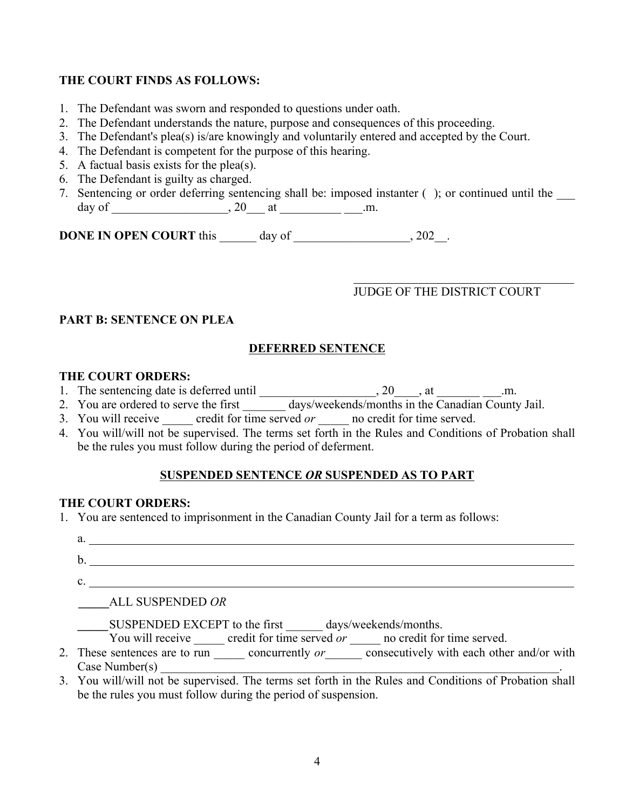## **THE COURT FINDS AS FOLLOWS:**

- 1. The Defendant was sworn and responded to questions under oath.
- 2. The Defendant understands the nature, purpose and consequences of this proceeding.
- 3. The Defendant's plea(s) is/are knowingly and voluntarily entered and accepted by the Court.
- 4. The Defendant is competent for the purpose of this hearing.
- 5. A factual basis exists for the plea(s).
- 6. The Defendant is guilty as charged.
- 7. Sentencing or order deferring sentencing shall be: imposed instanter (); or continued until the day of \_\_\_\_\_\_\_\_\_\_\_\_\_\_\_\_, 20\_\_\_ at \_\_\_\_\_\_\_\_\_\_\_\_\_\_\_\_.m.

**DONE IN OPEN COURT** this day of  $.202$ .

# JUDGE OF THE DISTRICT COURT

## **PART B: SENTENCE ON PLEA**

## **DEFERRED SENTENCE**

### **THE COURT ORDERS:**

- 1. The sentencing date is deferred until \_\_\_\_\_\_\_\_\_\_\_\_\_\_\_\_\_\_\_\_\_\_, 20\_\_\_\_, at \_\_\_\_\_\_\_\_\_\_\_\_\_.m.
- 2. You are ordered to serve the first \_\_\_\_\_\_\_ days/weekends/months in the Canadian County Jail.
- 3. You will receive credit for time served *or* **a** no credit for time served.
- 4. You will/will not be supervised. The terms set forth in the Rules and Conditions of Probation shall be the rules you must follow during the period of deferment.

## **SUSPENDED SENTENCE** *OR* **SUSPENDED AS TO PART**

### **THE COURT ORDERS:**

1. You are sentenced to imprisonment in the Canadian County Jail for a term as follows:

| a. |                                                                                                                              |
|----|------------------------------------------------------------------------------------------------------------------------------|
|    |                                                                                                                              |
|    |                                                                                                                              |
|    | ALL SUSPENDED OR                                                                                                             |
|    | SUSPENDED EXCEPT to the first days/weekends/months.<br>You will receive credit for time served or no credit for time served. |
|    | ,我们也不会有什么?""我们的人,我们也不会有什么?""我们的人,我们也不会有什么?""我们的人,我们也不会有什么?""我们的人,我们也不会有什么?""我们,我们<br>$\mathbf{1}$                            |

- 2. These sentences are to run concurrently *or* consecutively with each other and/or with  $Case$  Number(s)
- 3. You will/will not be supervised. The terms set forth in the Rules and Conditions of Probation shall be the rules you must follow during the period of suspension.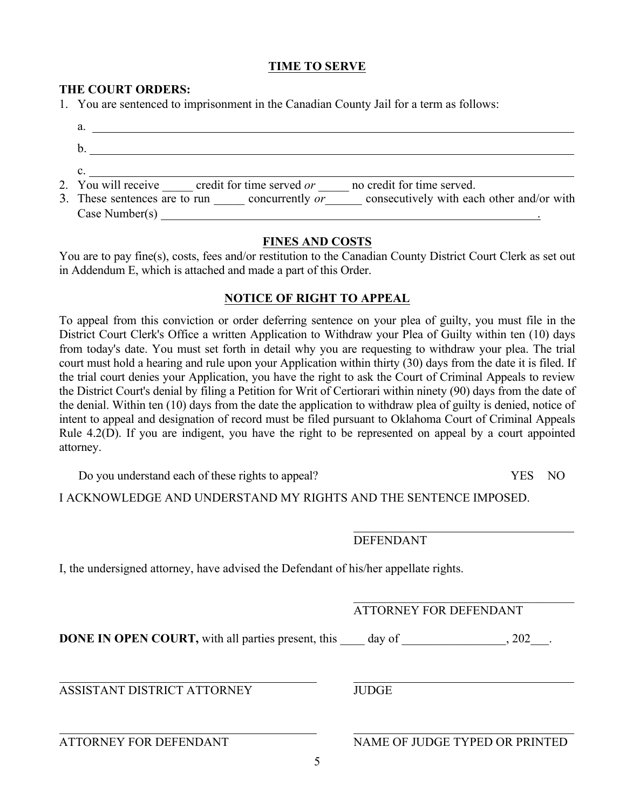### **TIME TO SERVE**

### **THE COURT ORDERS:**

1. You are sentenced to imprisonment in the Canadian County Jail for a term as follows:

| 2. You will receive credit for time served or<br>no credit for time served.                    |
|------------------------------------------------------------------------------------------------|
| 3. These sentences are to run concurrently <i>or</i> consecutively with each other and/or with |
| Case Number(s)                                                                                 |

#### **FINES AND COSTS**

You are to pay fine(s), costs, fees and/or restitution to the Canadian County District Court Clerk as set out in Addendum E, which is attached and made a part of this Order.

### **NOTICE OF RIGHT TO APPEAL**

To appeal from this conviction or order deferring sentence on your plea of guilty, you must file in the District Court Clerk's Office a written Application to Withdraw your Plea of Guilty within ten (10) days from today's date. You must set forth in detail why you are requesting to withdraw your plea. The trial court must hold a hearing and rule upon your Application within thirty (30) days from the date it is filed. If the trial court denies your Application, you have the right to ask the Court of Criminal Appeals to review the District Court's denial by filing a Petition for Writ of Certiorari within ninety (90) days from the date of the denial. Within ten (10) days from the date the application to withdraw plea of guilty is denied, notice of intent to appeal and designation of record must be filed pursuant to Oklahoma Court of Criminal Appeals Rule 4.2(D). If you are indigent, you have the right to be represented on appeal by a court appointed attorney.

Do you understand each of these rights to appeal? YES NO

I ACKNOWLEDGE AND UNDERSTAND MY RIGHTS AND THE SENTENCE IMPOSED.

DEFENDANT

I, the undersigned attorney, have advised the Defendant of his/her appellate rights.

### ATTORNEY FOR DEFENDANT

 $\mathcal{L}_\text{max}$  , and the set of the set of the set of the set of the set of the set of the set of the set of the set of the set of the set of the set of the set of the set of the set of the set of the set of the set of the

**DONE IN OPEN COURT,** with all parties present, this \_\_\_\_ day of \_\_\_\_\_\_\_\_\_\_\_\_\_\_, 202\_\_\_.

ASSISTANT DISTRICT ATTORNEY JUDGE

ATTORNEY FOR DEFENDANT NAME OF JUDGE TYPED OR PRINTED